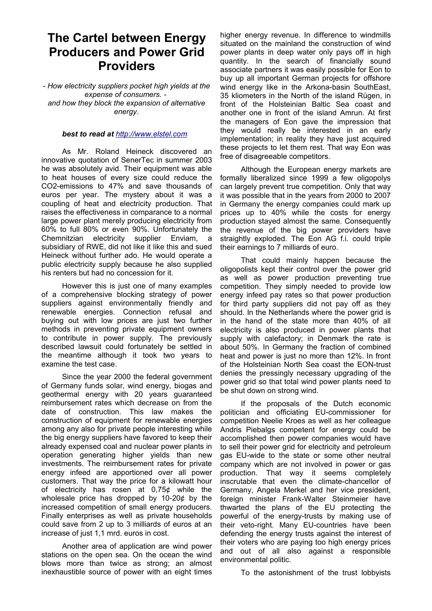## **The Cartel between Energy Producers and Power Grid Providers**

- *How electricity suppliers pocket high yields at the expense of consumers. and how they block the expansion of alternative energy.*

## *best to read at [http://www.elstel.com](http://www.elstel.com/)*

As Mr. Roland Heineck discovered an innovative quotation of SenerTec in summer 2003 he was absolutely avid. Their equipment was able to heat houses of every size could reduce the CO2-emissions to 47% and save thousands of euros per year. The mystery about it was a coupling of heat and electricity production. That raises the effectiveness in comparance to a normal large power plant merely producing electricity from 60% to full 80% or even 90%. Unfortunately the Chemnitzian electricity supplier Enviam, a subsidiary of RWE, did not like it like this and sued Heineck without further ado. He would operate a public electricity supply because he also supplied his renters but had no concession for it.

However this is just one of many examples of a comprehensive blocking strategy of power suppliers against environmentally friendly and renewable energies. Connection refusal and buying out with low prices are just two further methods in preventing private equipment owners to contribute in power supply. The previously described lawsuit could fortunately be settled in the meantime although it took two years to examine the test case.

Since the year 2000 the federal government of Germany funds solar, wind energy, biogas and geothermal energy with 20 years guaranteed reimbursement rates which decrease on from the date of construction. This law makes the construction of equipment for renewable energies among any also for private people interesting while the big energy suppliers have favored to keep their already expensed coal and nuclear power plants in operation generating higher yields than new investments. The reimbursement rates for private energy infeed are apportioned over all power customers. That way the price for a kilowatt hour of electricity has rosen at 0,75¢ while the wholesale price has dropped by 10-20¢ by the increased competition of small energy producers. Finally enterprises as well as private households could save from 2 up to 3 milliards of euros at an increase of just 1,1 mrd. euros in cost.

Another area of application are wind power stations on the open sea. On the ocean the wind blows more than twice as strong; an almost inexhaustible source of power with an eight times

higher energy revenue. In difference to windmills situated on the mainland the construction of wind power plants in deep water only pays off in high quantity. In the search of financially sound associate partners it was easily possible for Eon to buy up all important German projects for offshore wind energy like in the Arkona-basin SouthEast, 35 kliometers in the North of the island Rügen, in front of the Holsteinian Baltic Sea coast and another one in front of the island Amrun. At first the managers of Eon gave the impression that they would really be interested in an early implementation; in reality they have just acquired these projects to let them rest. That way Eon was free of disagreeable competitors.

Although the European energy markets are formally liberalized since 1999 a few oligopolys can largely prevent true competition. Only that way it was possible that in the years from 2000 to 2007 in Germany the energy companies could mark up prices up to 40% while the costs for energy production stayed almost the same. Consequently the revenue of the big power providers have straightly exploded. The Eon AG f.i. could triple their earnings to 7 milliards of euro.

That could mainly happen because the oligopolists kept their control over the power grid as well as power production preventing true competition. They simply needed to provide low energy infeed pay rates so that power production for third party suppliers did not pay off as they should. In the Netherlands where the power grid is in the hand of the state more than 40% of all electricity is also produced in power plants that supply with calefactory; in Denmark the rate is about 50%. In Germany the fraction of combined heat and power is just no more than 12%. In front of the Holsteinian North Sea coast the EON-trust denies the pressingly necessary upgrading of the power grid so that total wind power plants need to be shut down on strong wind.

If the proposals of the Dutch economic politician and officiating EU-commissioner for competition Neelie Kroes as well as her colleague Andris Piebalgs competent for energy could be accomplished then power companies would have to sell their power grid for electricity and petroleum gas EU-wide to the state or some other neutral company which are not involved in power or gas production. That way it seems completely inscrutable that even the climate-chancellor of Germany, Angela Merkel and her vice president, foreign minister Frank-Walter Steinmeier have thwarted the plans of the EU protecting the powerful of the energy-trusts by making use of their veto-right. Many EU-countries have been defending the energy trusts against the interest of their voters who are paying too high energy prices and out of all also against a responsible environmental politic.

To the astonishment of the trust lobbyists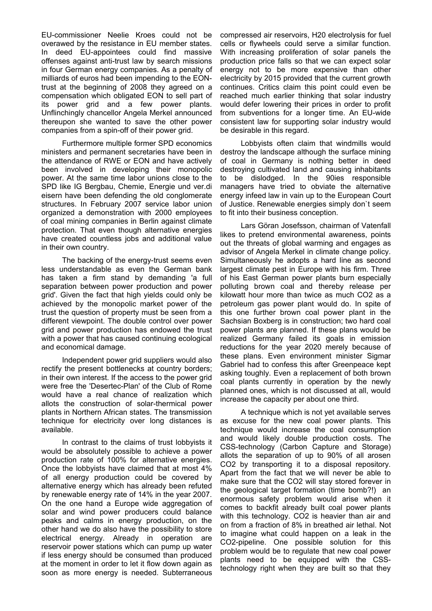EU-commissioner Neelie Kroes could not be overawed by the resistance in EU member states. In deed EU-appointees could find massive offenses against anti-trust law by search missions in four German energy companies. As a penalty of milliards of euros had been impending to the EONtrust at the beginning of 2008 they agreed on a compensation which obligated EON to sell part of its power grid and a few power plants. Unflinchingly chancellor Angela Merkel announced thereupon she wanted to save the other power companies from a spin-off of their power grid.

Furthermore multiple former SPD economics ministers and permanent secretaries have been in the attendance of RWE or EON and have actively been involved in developing their monopolic power. At the same time labor unions close to the SPD like IG Bergbau, Chemie, Energie und ver.di eisern have been defending the old conglomerate structures. In February 2007 service labor union organized a demonstration with 2000 employees of coal mining companies in Berlin against climate protection. That even though alternative energies have created countless jobs and additional value in their own country.

The backing of the energy-trust seems even less understandable as even the German bank has taken a firm stand by demanding 'a full separation between power production and power grid'. Given the fact that high yields could only be achieved by the monopolic market power of the trust the question of property must be seen from a different viewpoint. The double control over power grid and power production has endowed the trust with a power that has caused continuing ecological and economical damage.

Independent power grid suppliers would also rectify the present bottlenecks at country borders; in their own interest. If the access to the power grid were free the 'Desertec-Plan' of the Club of Rome would have a real chance of realization which allots the construction of solar-thermical power plants in Northern African states. The transmission technique for electricity over long distances is available.

In contrast to the claims of trust lobbyists it would be absolutely possible to achieve a power production rate of 100% for alternative energies. Once the lobbyists have claimed that at most 4% of all energy production could be covered by alternative energy which has already been refuted by renewable energy rate of 14% in the year 2007. On the one hand a Europe wide aggregation of solar and wind power producers could balance peaks and calms in energy production, on the other hand we do also have the possibility to store electrical energy. Already in operation are reservoir power stations which can pump up water if less energy should be consumed than produced at the moment in order to let it flow down again as soon as more energy is needed. Subterraneous

compressed air reservoirs, H20 electrolysis for fuel cells or flywheels could serve a similar function. With increasing proliferation of solar panels the production price falls so that we can expect solar energy not to be more expensive than other electricity by 2015 provided that the current growth continues. Critics claim this point could even be reached much earlier thinking that solar industry would defer lowering their prices in order to profit from subventions for a longer time. An EU-wide consistent law for supporting solar industry would be desirable in this regard.

Lobbyists often claim that windmills would destroy the landscape although the surface mining of coal in Germany is nothing better in deed destroying cultivated land and causing inhabitants to be dislodged. In the 90ies responsible managers have tried to obviate the alternative energy infeed law in vain up to the European Court of Justice. Renewable energies simply don`t seem to fit into their business conception.

Lars Göran Josefsson, chairman of Vatenfall likes to pretend environmental awareness, points out the threats of global warming and engages as advisor of Angela Merkel in climate change policy. Simultaneously he adopts a hard line as second largest climate pest in Europe with his firm. Three of his East German power plants burn especially polluting brown coal and thereby release per kilowatt hour more than twice as much CO2 as a petroleum gas power plant would do. In spite of this one further brown coal power plant in the Sachsian Boxberg is in construction; two hard coal power plants are planned. If these plans would be realized Germany failed its goals in emission reductions for the year 2020 merely because of these plans. Even environment minister Sigmar Gabriel had to confess this after Greenpeace kept asking toughly. Even a replacement of both brown coal plants currently in operation by the newly planned ones, which is not discussed at all, would increase the capacity per about one third.

A technique which is not yet available serves as excuse for the new coal power plants. This technique would increase the coal consumption and would likely double production costs. The CSS-technology (Carbon Capture and Storage) allots the separation of up to 90% of all arosen CO2 by transporting it to a disposal repository. Apart from the fact that we will never be able to make sure that the CO2 will stay stored forever in the geological target formation (time bomb?!) an enormous safety problem would arise when it comes to backfit already built coal power plants with this technology. CO2 is heavier than air and on from a fraction of 8% in breathed air lethal. Not to imagine what could happen on a leak in the CO2-pipeline. One possible solution for this problem would be to regulate that new coal power plants need to be equipped with the CSStechnology right when they are built so that they